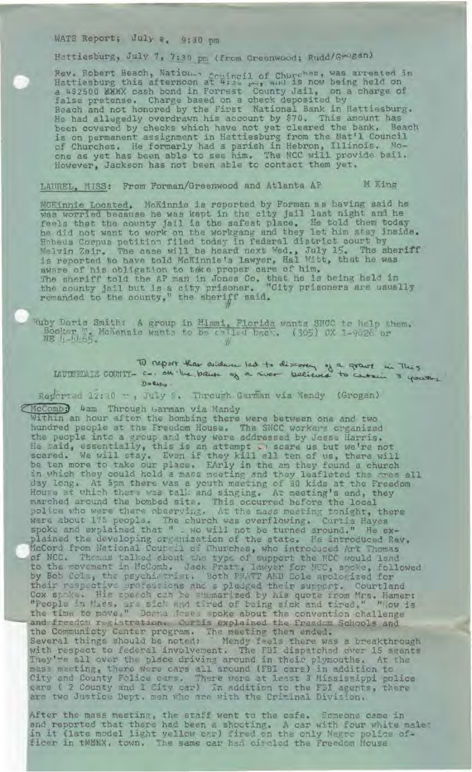## WATS Report; July a. 9:30 pm

Hattiesburg, July 7, 7:30 pm (from Greenwood; Rudd/Grogan).

Rev. Robert Beach, Nation, scuincil of Churches, was arrested in<br>Hattiesburg this afternoon at #:30 pm, and is now being held on a 4\$2500 MMMX cash bond in Forrest County Jail, on a charge of false pretense. Charge based on a check deposited by Beach and not honored by the First Wational Bank in Hattiesbur He had allegedly overdrawn his account by \$70. This amount has been covered by checks which have not yet cleared the bank, Beach is on permanent assignment in Hattiesburg from the Nat'l Counci of Churches. He formerly had a parish in Hebron, Illinois . Hoone as yet has been able to see him. The NCC will provide bail, However, Jackson has not been able to contact them yet

LAUREL, MISS: From Forman/Greenwood and Atlanta AP M King

MCKinnie Located. McKinnie is reported by Forman es having said he was worried because he was kept in the city jail last night and he feels that the county jail is the safest place. He told them today he did not want to work on the workgang and they let him stay inside. Habeus Corpus petition filed today in federal district court by Melvin Zair. The case will be heard next Wed., July 15. The sheri is reported to have told McKinnie's lawyer, Hal Witt, that he was aware of his obligation to take proper care of him. The sheriff told the AP man in Jones Co. that he is being held in the county jail but is a city prisoner. "Gity prisoners are usually remanded to the county," the sheriff said.

uby Doris Smith: A group in NE '<sub>1</sub> 1,1,65.

To report that evidence led to discover of a great in Thes.<br>LAUTEELLE COUNTY- 5-. an live paint of a niver becieved to catain 3 youth. 1) report that exident led to discovery of a grant in Thes.<br>5-. all the bank of a niver believed to contain 3 yours.

Reported 12:30 - , July 2. Through Garman via Mendy (Grogan)

(McComb) #am Through Garman via Mandy Within an hour after the bombing there were between one and two hundred people at the Freedom House. The SNCC workers organiz the people into a group and they were addressed by Jesse Harris. He said, essentially, this is an attempt of scare us but we're not scared. We will stay. Evan if they kill all ten of us, there wil be ten more to take our place. EArly in the am they found a churc in which they could hold a mass meeting and they leafleted the mee al day long. At 5pm there was a youth meeting of 30 kids at the Freedom Houve at which there was talk and singing. At meeting's end, the marched around the bombed site. This occurred before the lode police who were there observing. At the mass meeting tonight, ther were about 175 people. The church was overflowing. Curtis Hayes spoke and explained that " . wo will not be turned around." He explained the developing organization of the state. He introduced Rev. icCord from National Courcil of Churches, who introduced Art Thomas of NCC. Themas talked about the type of support the NCC would lend to the movement in McComb. Jack Pratt, lawyer for NCC, spoke, follow by Bob Cole, the psychi, trist. Doth PRATT AND Cole apologized for their respective professions and s pledged their surport. Courtla Cox spake. His specch cin be suggarized by his quote rrom Mrs. Hamer: "People in Niss, are sick and tired of being sick and tired." "Now is the time to move<sub>1</sub>" Doma lose. spoke about the convention challenge - and freedom registration. Curtis explained the Freedom Schools and the Communicty Center program. The meeting then ended Several things should be noted: Mendy feels there was a breakthrough with respect to federal involvement. The FBI dispatched over 15 agent They're all over the place driving around in their plymouths. At the nass meeting, there were cars all around (FBI cars) in addition to City and County Police cars. There were at least 3 Mississippi polic cans ( 2 County and 1 City car) in addition to the FBI agents, there are two Justice Dept. men who are with the Criminal Division.

fter the mass meeting, the staff went to the cafe. Someone came in and reported that there had been a shooting. A car with four white male<sup>\*</sup> in it (late model light yellow car) fired on the only Negro police of ficer in tWEWX. town. The same car had circled the Freedom House